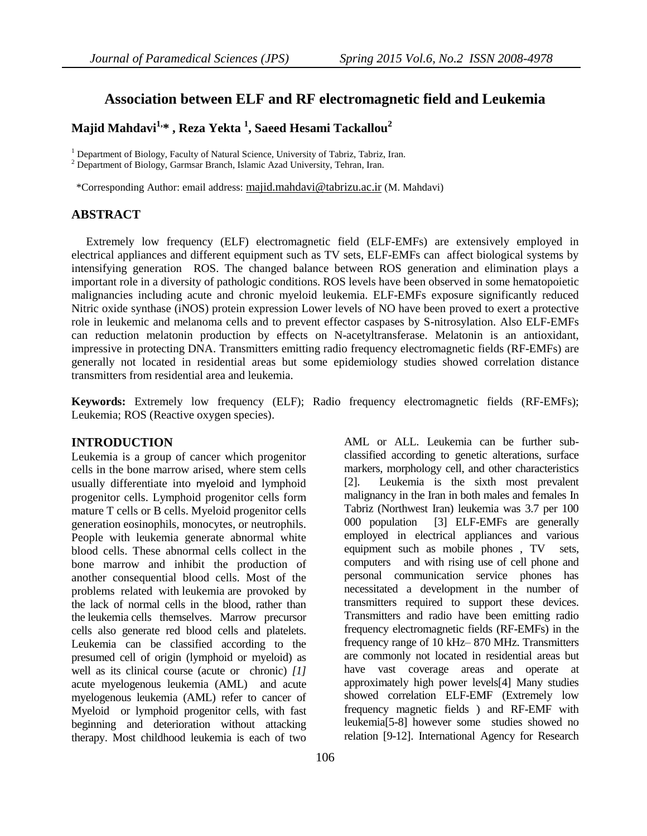# **Association between ELF and RF electromagnetic field and Leukemia**

**Majid Mahdavi1,\* , Reza Yekta <sup>1</sup> , Saeed Hesami Tackallou<sup>2</sup>**

<sup>1</sup> Department of Biology, Faculty of Natural Science, University of Tabriz, Tabriz, Iran.

<sup>2</sup> Department of Biology, Garmsar Branch, Islamic Azad University, Tehran, Iran.

\*Corresponding Author: email address: majid.mahdavi@tabrizu.ac.ir (M. Mahdavi)

# **ABSTRACT**

 Extremely low frequency (ELF) electromagnetic field (ELF-EMFs) are extensively employed in electrical appliances and different equipment such as TV sets, ELF-EMFs can affect biological systems by intensifying generation ROS. The changed balance between ROS generation and elimination plays a important role in a diversity of pathologic conditions. ROS levels have been observed in some hematopoietic malignancies including acute and chronic myeloid leukemia. ELF-EMFs exposure significantly reduced Nitric oxide synthase (iNOS) protein expression Lower levels of NO have been proved to exert a protective role in leukemic and melanoma cells and to prevent effector caspases by S-nitrosylation. Also ELF-EMFs can reduction melatonin production by effects on N-acetyltransferase. Melatonin is an antioxidant, impressive in protecting DNA. Transmitters emitting radio frequency electromagnetic fields (RF-EMFs) are generally not located in residential areas but some epidemiology studies showed correlation distance transmitters from residential area and leukemia.

**Keywords:** Extremely low frequency (ELF); Radio frequency electromagnetic fields (RF-EMFs); Leukemia; ROS (Reactive oxygen species).

# **INTRODUCTION**

Leukemia is a group of cancer which progenitor cells in the bone marrow arised, where stem cells usually differentiate into myeloid and lymphoid progenitor cells. Lymphoid progenitor cells form mature T cells or B cells. Myeloid progenitor cells generation eosinophils, monocytes, or neutrophils. People with leukemia generate abnormal white blood cells. These abnormal cells collect in the bone marrow and inhibit the production of another consequential blood cells. Most of the problems related with leukemia are provoked by the lack of normal cells in the blood, rather than the leukemia cells themselves. Marrow precursor cells also generate red blood cells and platelets. Leukemia can be classified according to the presumed cell of origin (lymphoid or myeloid) as well as its clinical course (acute or chronic) *[\[1\]](#page-7-0)* acute myelogenous leukemia (AML) and acute myelogenous leukemia (AML) refer to cancer of Myeloid or lymphoid progenitor cells, with fast beginning and deterioration without attacking therapy. Most childhood leukemia is each of two

AML or ALL. Leukemia can be further subclassified according to genetic alterations, surface markers, morphology cell, and other characteristics [\[2\]](#page-7-1). Leukemia is the sixth most prevalent malignancy in the Iran in both males and females In Tabriz (Northwest Iran) leukemia was 3.7 per 100 000 population [\[3\]](#page-7-2) ELF-EMFs are generally employed in electrical appliances and various equipment such as mobile phones , TV sets, computers and with rising use of cell phone and personal communication service phones has necessitated a development in the number of transmitters required to support these devices. Transmitters and radio have been emitting radio frequency electromagnetic fields (RF-EMFs) in the frequency range of 10 kHz– 870 MHz. Transmitters are commonly not located in residential areas but have vast coverage areas and operate at approximately high power levels[\[4\]](#page-7-3) Many studies showed correlation ELF-EMF (Extremely low frequency magnetic fields ) and RF-EMF with leukemia[\[5-8\]](#page-7-4) however some studies showed no relation [\[9-12\]](#page-7-5). International Agency for Research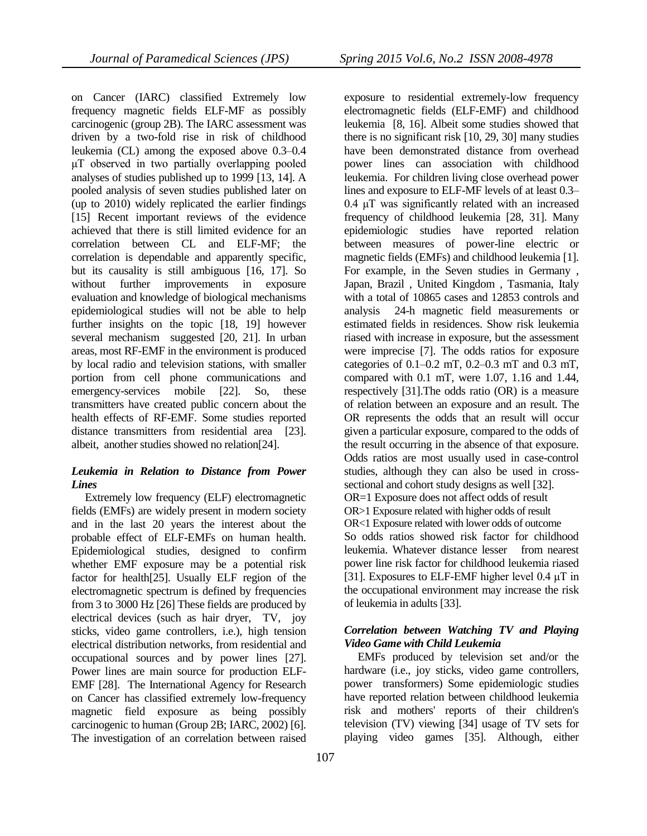on Cancer (IARC) classified Extremely low frequency magnetic fields ELF-MF as possibly carcinogenic (group 2B). The IARC assessment was driven by a two-fold rise in risk of childhood leukemia (CL) among the exposed above 0.3–0.4 μT observed in two partially overlapping pooled analyses of studies published up to 1999 [\[13,](#page-7-6) [14\]](#page-7-7). A pooled analysis of seven studies published later on (up to 2010) widely replicated the earlier findings [\[15\]](#page-7-8) Recent important reviews of the evidence achieved that there is still limited evidence for an correlation between CL and ELF-MF; the correlation is dependable and apparently specific, but its causality is still ambiguous [\[16,](#page-7-9) [17\]](#page-7-10). So without further improvements in exposure evaluation and knowledge of biological mechanisms epidemiological studies will not be able to help further insights on the topic [\[18,](#page-7-11) [19\]](#page-7-12) however several mechanism suggested [\[20,](#page-7-13) [21\]](#page-7-14). In urban areas, most RF-EMF in the environment is produced by local radio and television stations, with smaller portion from cell phone communications and emergency-services mobile [\[22\]](#page-8-0). So, these transmitters have created public concern about the health effects of RF-EMF. Some studies reported distance transmitters from residential area [\[23\]](#page-8-1). albeit, another studies showed no relation[\[24\]](#page-8-2).

## *Leukemia in Relation to Distance from Power Lines*

 Extremely low frequency (ELF) electromagnetic fields (EMFs) are widely present in modern society and in the last 20 years the interest about the probable effect of ELF-EMFs on human health. Epidemiological studies, designed to confirm whether EMF exposure may be a potential risk factor for health[\[25\]](#page-8-3). Usually ELF region of the electromagnetic spectrum is defined by frequencies from 3 to 3000 Hz [\[26\]](#page-8-4) These fields are produced by electrical devices (such as hair dryer, TV, joy sticks, video game controllers, i.e.), high tension electrical distribution networks, from residential and occupational sources and by power lines [\[27\]](#page-8-5). Power lines are main source for production ELF-EMF [\[28\]](#page-8-6). The International Agency for Research on Cancer has classified extremely low-frequency magnetic field exposure as being possibly carcinogenic to human (Group 2B; IARC, 2002) [\[6\]](#page-7-15). The investigation of an correlation between raised

exposure to residential extremely-low frequency electromagnetic fields (ELF-EMF) and childhood leukemia [\[8,](#page-7-16) [16\]](#page-7-9). Albeit some studies showed that there is no significant risk [\[10,](#page-7-17) [29,](#page-8-7) [30\]](#page-8-8) many studies have been demonstrated distance from overhead power lines can association with childhood leukemia. For children living close overhead power lines and exposure to ELF-MF levels of at least 0.3– 0.4 μT was significantly related with an increased frequency of childhood leukemia [\[28,](#page-8-6) [31\]](#page-8-9). Many epidemiologic studies have reported relation between measures of power-line electric or magnetic fields (EMFs) and childhood leukemia [\[1\]](#page-7-0). For example, in the Seven studies in Germany , Japan, Brazil , United Kingdom , Tasmania, Italy with a total of 10865 cases and 12853 controls and analysis 24-h magnetic field measurements or estimated fields in residences. Show risk leukemia riased with increase in exposure, but the assessment were imprecise [\[7\]](#page-7-18). The odds ratios for exposure categories of 0.1–0.2 mT, 0.2–0.3 mT and 0.3 mT, compared with 0.1 mT, were 1.07, 1.16 and 1.44, respectively [\[31\]](#page-8-9).The odds ratio (OR) is a measure of relation between an exposure and an result. The OR represents the odds that an result will occur given a particular exposure, compared to the odds of the result occurring in the absence of that exposure. Odds ratios are most usually used in case-control studies, although they can also be used in crosssectional and cohort study designs as well [\[32\]](#page-8-10). OR=1 Exposure does not affect odds of result OR>1 Exposure related with higher odds of result OR<1 Exposure related with lower odds of outcome So odds ratios showed risk factor for childhood leukemia. Whatever distance lesser from nearest power line risk factor for childhood leukemia riased [\[31\]](#page-8-9). Exposures to ELF-EMF higher level 0.4 μT in the occupational environment may increase the risk of leukemia in adults [\[33\]](#page-8-11).

# *Correlation between Watching TV and Playing Video Game with Child Leukemia*

 EMFs produced by television set and/or the hardware (i.e., joy sticks, video game controllers, power transformers) Some epidemiologic studies have reported relation between childhood leukemia risk and mothers' reports of their children's television (TV) viewing [\[34\]](#page-8-12) usage of TV sets for playing video games [\[35\]](#page-8-13). Although, either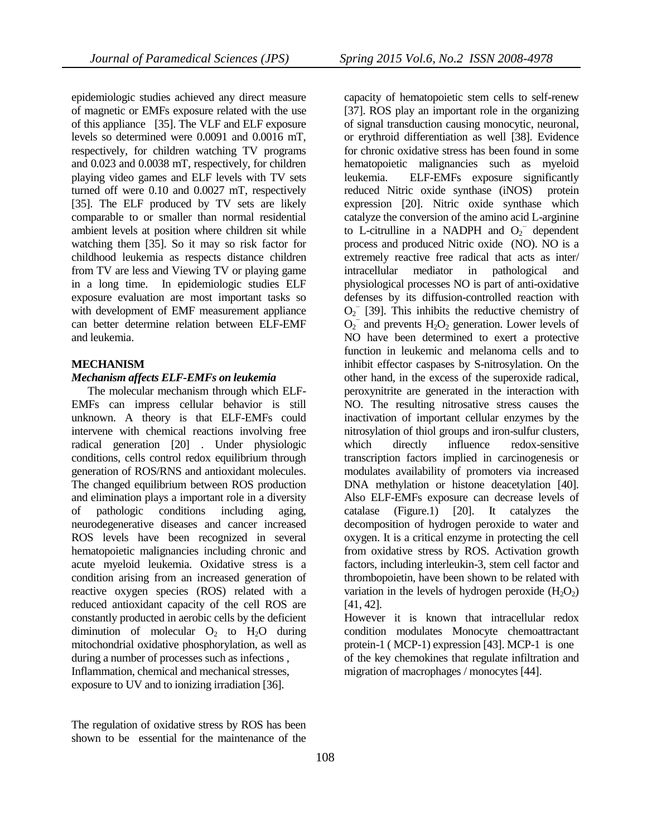epidemiologic studies achieved any direct measure of magnetic or EMFs exposure related with the use of this appliance [\[35\]](#page-8-13). The VLF and ELF exposure levels so determined were 0.0091 and 0.0016 mT, respectively, for children watching TV programs and 0.023 and 0.0038 mT, respectively, for children playing video games and ELF levels with TV sets turned off were 0.10 and 0.0027 mT, respectively [\[35\]](#page-8-13). The ELF produced by TV sets are likely comparable to or smaller than normal residential ambient levels at position where children sit while watching them [\[35\]](#page-8-13). So it may so risk factor for childhood leukemia as respects distance children from TV are less and Viewing TV or playing game in a long time. In epidemiologic studies ELF exposure evaluation are most important tasks so with development of EMF measurement appliance can better determine relation between ELF-EMF and leukemia.

#### **MECHANISM**

#### *Mechanism affects ELF-EMFs on leukemia*

 The molecular mechanism through which ELF-EMFs can impress cellular behavior is still unknown. A theory is that ELF-EMFs could intervene with chemical reactions involving free radical generation [\[20\]](#page-7-13) . Under physiologic conditions, cells control redox equilibrium through generation of ROS/RNS and antioxidant molecules. The changed equilibrium between ROS production and elimination plays a important role in a diversity of pathologic conditions including aging, neurodegenerative diseases and cancer increased ROS levels have been recognized in several hematopoietic malignancies including chronic and acute myeloid leukemia. Oxidative stress is a condition arising from an increased generation of reactive oxygen species (ROS) related with a reduced antioxidant capacity of the cell ROS are constantly producted in aerobic cells by the deficient diminution of molecular  $O_2$  to  $H_2O$  during mitochondrial oxidative phosphorylation, as well as during a number of processes such as infections , Inflammation, chemical and mechanical stresses, exposure to UV and to ionizing irradiation [\[36\]](#page-8-14).

The regulation of oxidative stress by ROS has been shown to be essential for the maintenance of the capacity of hematopoietic stem cells to self-renew [\[37\]](#page-8-15). ROS play an important role in the organizing of signal transduction causing monocytic, neuronal, or erythroid differentiation as well [\[38\]](#page-8-16). Evidence for chronic oxidative stress has been found in some hematopoietic malignancies such as myeloid leukemia. ELF-EMFs exposure significantly reduced Nitric oxide synthase (iNOS) protein expression [\[20\]](#page-7-13). Nitric oxide synthase which catalyze the conversion of the amino acid L-arginine to L-citrulline in a NADPH and  $O_2$ <sup>-</sup> dependent process and produced Nitric oxide (NO). NO is a extremely reactive free radical that acts as inter/ intracellular mediator in pathological and physiological processes NO is part of anti-oxidative defenses by its diffusion-controlled reaction with  $O_2$ <sup>-</sup> [\[39\]](#page-8-17). This inhibits the reductive chemistry of  $O_2$ <sup>-</sup> and prevents  $H_2O_2$  generation. Lower levels of NO have been determined to exert a protective function in leukemic and melanoma cells and to inhibit effector caspases by S-nitrosylation. On the other hand, in the excess of the superoxide radical, peroxynitrite are generated in the interaction with NO. The resulting nitrosative stress causes the inactivation of important cellular enzymes by the nitrosylation of thiol groups and iron-sulfur clusters, which directly influence redox-sensitive transcription factors implied in carcinogenesis or modulates availability of promoters via increased DNA methylation or histone deacetylation [\[40\]](#page-8-18). Also ELF-EMFs exposure can decrease levels of catalase (Figure.1) [\[20\]](#page-7-13). It catalyzes the decomposition of hydrogen peroxide to water and oxygen. It is a critical enzyme in protecting the cell from oxidative stress by ROS. Activation growth factors, including interleukin-3, stem cell factor and thrombopoietin, have been shown to be related with variation in the levels of hydrogen peroxide  $(H_2O_2)$ [\[41,](#page-8-19) [42\]](#page-8-20).

However it is known that intracellular redox condition modulates Monocyte chemoattractant protein-1 ( MCP-1) expression [\[43\]](#page-8-21). MCP-1 is one of the key chemokines that regulate infiltration and migration of macrophages / monocytes [\[44\]](#page-9-0).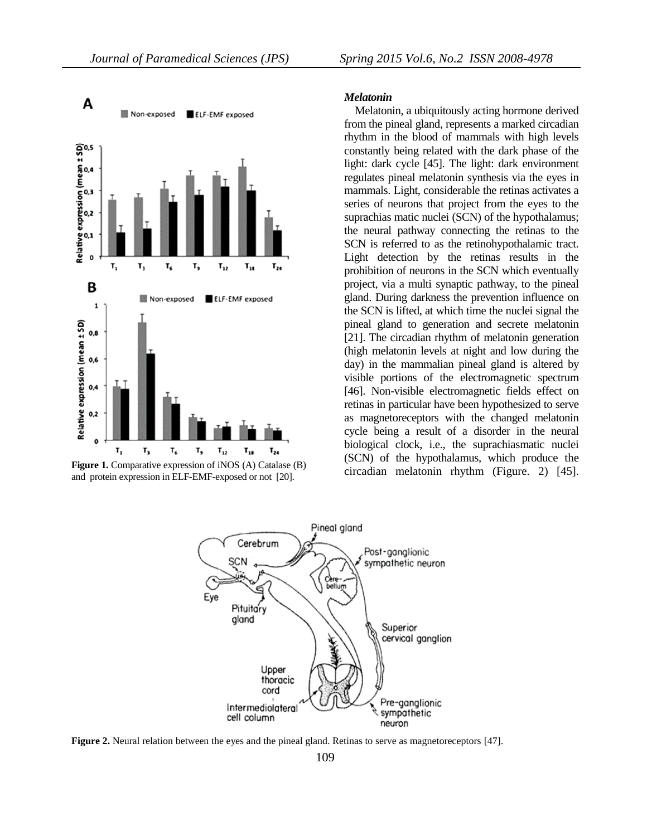

**Figure 1.** Comparative expression of iNOS (A) Catalase (B) and protein expression in ELF-EMF-exposed or not [\[20\]](#page-7-13).

#### *Melatonin*

 Melatonin, a ubiquitously acting hormone derived from the pineal gland, represents a marked circadian rhythm in the blood of mammals with high levels constantly being related with the dark phase of the light: dark cycle [\[45\]](#page-9-1). The light: dark environment regulates pineal melatonin synthesis via the eyes in mammals. Light, considerable the retinas activates a series of neurons that project from the eyes to the suprachias matic nuclei (SCN) of the hypothalamus; the neural pathway connecting the retinas to the SCN is referred to as the retinohypothalamic tract. Light detection by the retinas results in the prohibition of neurons in the SCN which eventually project, via a multi synaptic pathway, to the pineal gland. During darkness the prevention influence on the SCN is lifted, at which time the nuclei signal the pineal gland to generation and secrete melatonin [\[21\]](#page-7-14). The circadian rhythm of melatonin generation (high melatonin levels at night and low during the day) in the mammalian pineal gland is altered by visible portions of the electromagnetic spectrum [\[46\]](#page-9-2). Non-visible electromagnetic fields effect on retinas in particular have been hypothesized to serve as magnetoreceptors with the changed melatonin cycle being a result of a disorder in the neural biological clock, i.e., the suprachiasmatic nuclei (SCN) of the hypothalamus, which produce the circadian melatonin rhythm (Figure. 2) [\[45\]](#page-9-1).



**Figure 2.** Neural relation between the eyes and the pineal gland. Retinas to serve as magnetoreceptors [\[47\]](#page-9-3).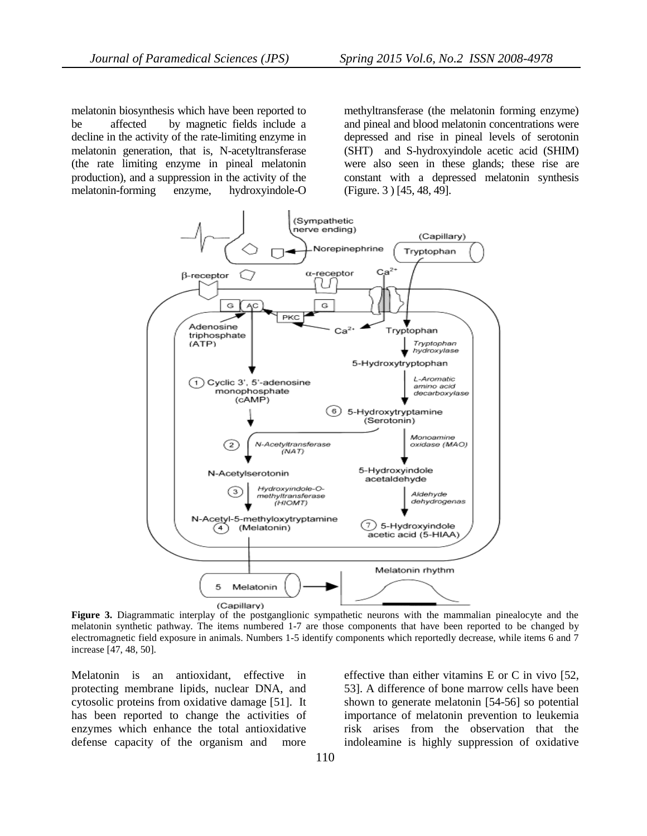melatonin biosynthesis which have been reported to be affected by magnetic fields include a decline in the activity of the rate-limiting enzyme in melatonin generation, that is, N-acetyltransferase (the rate limiting enzyme in pineal melatonin production), and a suppression in the activity of the melatonin-forming enzyme, hydroxyindole-O methyltransferase (the melatonin forming enzyme) and pineal and blood melatonin concentrations were depressed and rise in pineal levels of serotonin (SHT) and S-hydroxyindole acetic acid (SHIM) were also seen in these glands; these rise are constant with a depressed melatonin synthesis (Figure. 3 ) [\[45,](#page-9-1) [48,](#page-9-4) [49\]](#page-9-5).



**Figure 3.** Diagrammatic interplay of the postganglionic sympathetic neurons with the mammalian pinealocyte and the melatonin synthetic pathway. The items numbered 1-7 are those components that have been reported to be changed by electromagnetic field exposure in animals. Numbers 1-5 identify components which reportedly decrease, while items 6 and 7 increase [\[47,](#page-9-3) [48,](#page-9-4) [50\]](#page-9-6).

Melatonin is an antioxidant, effective in protecting membrane lipids, nuclear DNA, and cytosolic proteins from oxidative damage [\[51\]](#page-9-7). It has been reported to change the activities of enzymes which enhance the total antioxidative defense capacity of the organism and more

effective than either vitamins E or C in vivo [\[52,](#page-9-8) [53\]](#page-9-9). A difference of bone marrow cells have been shown to generate melatonin [\[54-56\]](#page-9-10) so potential importance of melatonin prevention to leukemia risk arises from the observation that the indoleamine is highly suppression of oxidative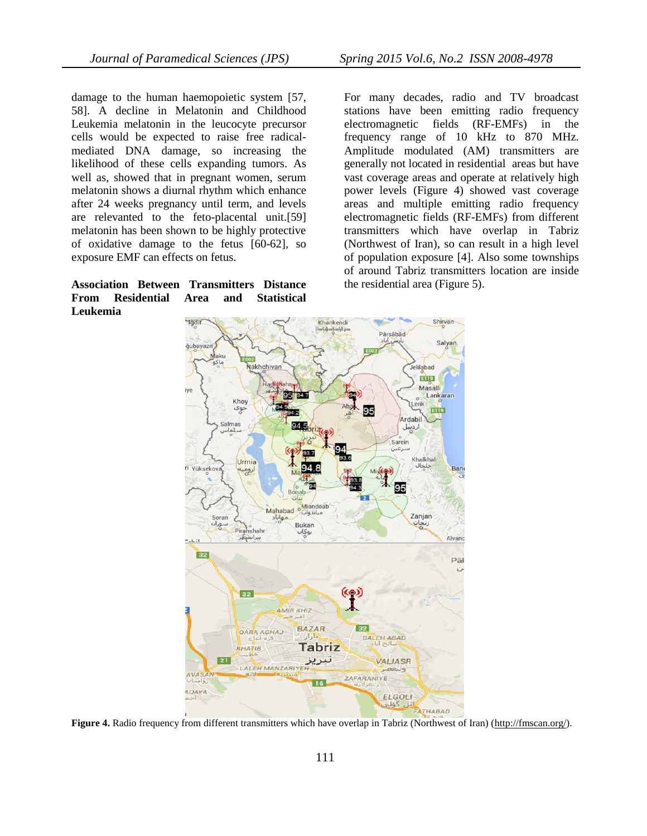damage to the human haemopoietic system [\[57,](#page-9-11) [58\]](#page-9-12). A decline in Melatonin and Childhood Leukemia melatonin in the leucocyte precursor cells would be expected to raise free radicalmediated DNA damage, so increasing the likelihood of these cells expanding tumors. As well as, showed that in pregnant women, serum melatonin shows a diurnal rhythm which enhance after 24 weeks pregnancy until term, and levels are relevanted to the feto-placental unit.[\[59\]](#page-9-13) melatonin has been shown to be highly protective of oxidative damage to the fetus [\[60-62\]](#page-9-14), so exposure EMF can effects on fetus.

## **Association Between Transmitters Distance From Residential Area and Statistical Leukemia**

For many decades, radio and TV broadcast stations have been emitting radio frequency electromagnetic fields (RF-EMFs) in the frequency range of 10 kHz to 870 MHz. Amplitude modulated (AM) transmitters are generally not located in residential areas but have vast coverage areas and operate at relatively high power levels (Figure 4) showed vast coverage areas and multiple emitting radio frequency electromagnetic fields (RF-EMFs) from different transmitters which have overlap in Tabriz (Northwest of Iran), so can result in a high level of population exposure [\[4\]](#page-7-3). Also some townships of around Tabriz transmitters location are inside the residential area (Figure 5).



Figure 4. Radio frequency from different transmitters which have overlap in Tabriz (Northwest of Iran) [\(http://fmscan.org/\)](http://fmscan.org/).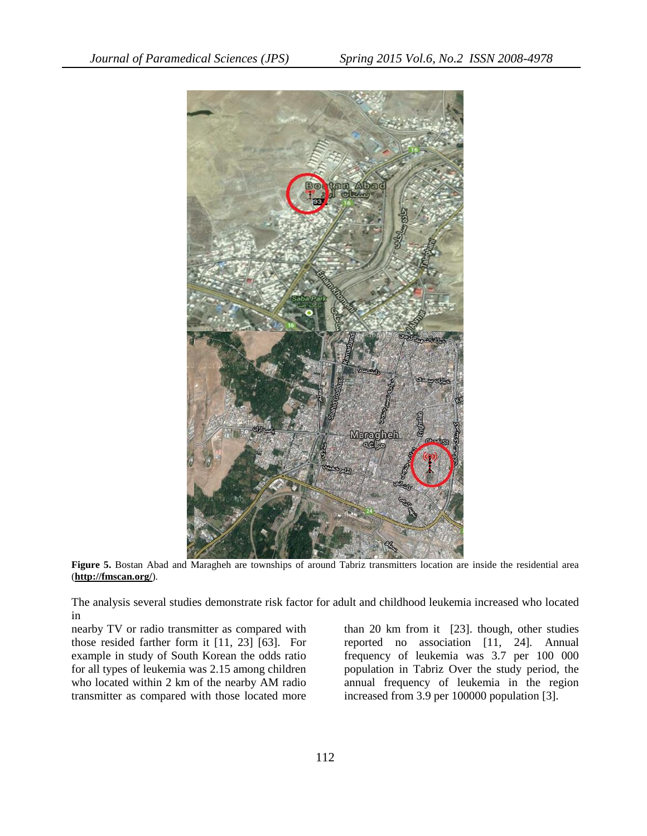

**Figure 5.** Bostan Abad and Maragheh are townships of around Tabriz transmitters location are inside the residential area (**<http://fmscan.org/>**).

The analysis several studies demonstrate risk factor for adult and childhood leukemia increased who located in

nearby TV or radio transmitter as compared with those resided farther form it [\[11,](#page-7-19) [23\]](#page-8-1) [\[63\]](#page-9-15). For example in study of South Korean the odds ratio for all types of leukemia was 2.15 among children who located within 2 km of the nearby AM radio transmitter as compared with those located more

than 20 km from it [\[23\]](#page-8-1). though, other studies reported no association [\[11,](#page-7-19) [24\]](#page-8-2)*.* Annual frequency of leukemia was 3.7 per 100 000 population in Tabriz Over the study period, the annual frequency of leukemia in the region increased from 3.9 per 100000 population [\[3\]](#page-7-2).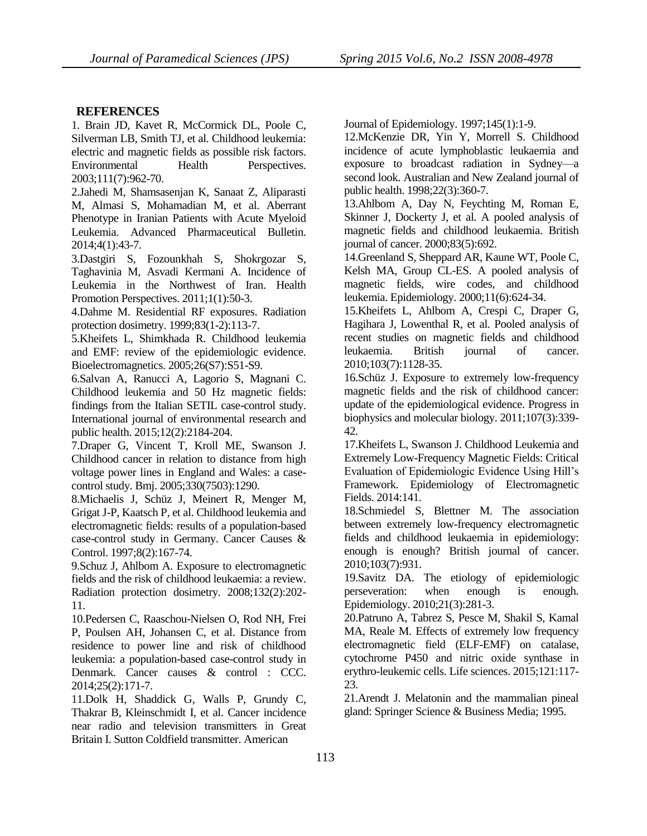# **REFERENCES**

<span id="page-7-0"></span>1. Brain JD, Kavet R, McCormick DL, Poole C, Silverman LB, Smith TJ, et al. Childhood leukemia: electric and magnetic fields as possible risk factors. Environmental Health Perspectives. 2003;111(7):962-70.

<span id="page-7-1"></span>2.Jahedi M, Shamsasenjan K, Sanaat Z, Aliparasti M, Almasi S, Mohamadian M, et al. Aberrant Phenotype in Iranian Patients with Acute Myeloid Leukemia. Advanced Pharmaceutical Bulletin. 2014;4(1):43-7.

<span id="page-7-2"></span>3.Dastgiri S, Fozounkhah S, Shokrgozar S, Taghavinia M, Asvadi Kermani A. Incidence of Leukemia in the Northwest of Iran. Health Promotion Perspectives. 2011;1(1):50-3.

4.Dahme M. Residential RF exposures. Radiation protection dosimetry. 1999;83(1-2):113-7.

<span id="page-7-4"></span>5.Kheifets L, Shimkhada R. Childhood leukemia and EMF: review of the epidemiologic evidence. Bioelectromagnetics. 2005;26(S7):S51-S9.

<span id="page-7-15"></span>6.Salvan A, Ranucci A, Lagorio S, Magnani C. Childhood leukemia and 50 Hz magnetic fields: findings from the Italian SETIL case-control study. International journal of environmental research and public health. 2015;12(2):2184-204.

7.Draper G, Vincent T, Kroll ME, Swanson J. Childhood cancer in relation to distance from high voltage power lines in England and Wales: a casecontrol study. Bmj. 2005;330(7503):1290.

<span id="page-7-16"></span>8.Michaelis J, Schüz J, Meinert R, Menger M, Grigat J-P, Kaatsch P, et al. Childhood leukemia and electromagnetic fields: results of a population-based case-control study in Germany. Cancer Causes & Control. 1997;8(2):167-74.

<span id="page-7-5"></span>9.Schuz J, Ahlbom A. Exposure to electromagnetic fields and the risk of childhood leukaemia: a review. Radiation protection dosimetry. 2008;132(2):202- 11.

<span id="page-7-17"></span>10.Pedersen C, Raaschou-Nielsen O, Rod NH, Frei P, Poulsen AH, Johansen C, et al. Distance from residence to power line and risk of childhood leukemia: a population-based case-control study in Denmark. Cancer causes & control : CCC. 2014;25(2):171-7.

<span id="page-7-19"></span>11.Dolk H, Shaddick G, Walls P, Grundy C, Thakrar B, Kleinschmidt I, et al. Cancer incidence near radio and television transmitters in Great Britain I. Sutton Coldfield transmitter. American

Journal of Epidemiology. 1997;145(1):1-9.

12.McKenzie DR, Yin Y, Morrell S. Childhood incidence of acute lymphoblastic leukaemia and exposure to broadcast radiation in Sydney—a second look. Australian and New Zealand journal of public health. 1998;22(3):360-7.

<span id="page-7-6"></span>13.Ahlbom A, Day N, Feychting M, Roman E, Skinner J, Dockerty J, et al. A pooled analysis of magnetic fields and childhood leukaemia. British journal of cancer. 2000;83(5):692.

<span id="page-7-7"></span>14.Greenland S, Sheppard AR, Kaune WT, Poole C, Kelsh MA, Group CL-ES. A pooled analysis of magnetic fields, wire codes, and childhood leukemia. Epidemiology. 2000;11(6):624-34.

<span id="page-7-8"></span><span id="page-7-3"></span>15.Kheifets L, Ahlbom A, Crespi C, Draper G, Hagihara J, Lowenthal R, et al. Pooled analysis of recent studies on magnetic fields and childhood leukaemia. British journal of cancer. 2010;103(7):1128-35.

<span id="page-7-9"></span>16.Schüz J. Exposure to extremely low-frequency magnetic fields and the risk of childhood cancer: update of the epidemiological evidence. Progress in biophysics and molecular biology. 2011;107(3):339- 42.

<span id="page-7-18"></span><span id="page-7-10"></span>17.Kheifets L, Swanson J. Childhood Leukemia and Extremely Low-Frequency Magnetic Fields: Critical Evaluation of Epidemiologic Evidence Using Hill's Framework. Epidemiology of Electromagnetic Fields. 2014:141.

<span id="page-7-11"></span>18.Schmiedel S, Blettner M. The association between extremely low-frequency electromagnetic fields and childhood leukaemia in epidemiology: enough is enough? British journal of cancer. 2010;103(7):931.

<span id="page-7-12"></span>19.Savitz DA. The etiology of epidemiologic perseveration: when enough is enough. Epidemiology. 2010;21(3):281-3.

<span id="page-7-13"></span>20.Patruno A, Tabrez S, Pesce M, Shakil S, Kamal MA, Reale M. Effects of extremely low frequency electromagnetic field (ELF-EMF) on catalase, cytochrome P450 and nitric oxide synthase in erythro-leukemic cells. Life sciences. 2015;121:117- 23.

<span id="page-7-14"></span>21.Arendt J. Melatonin and the mammalian pineal gland: Springer Science & Business Media; 1995.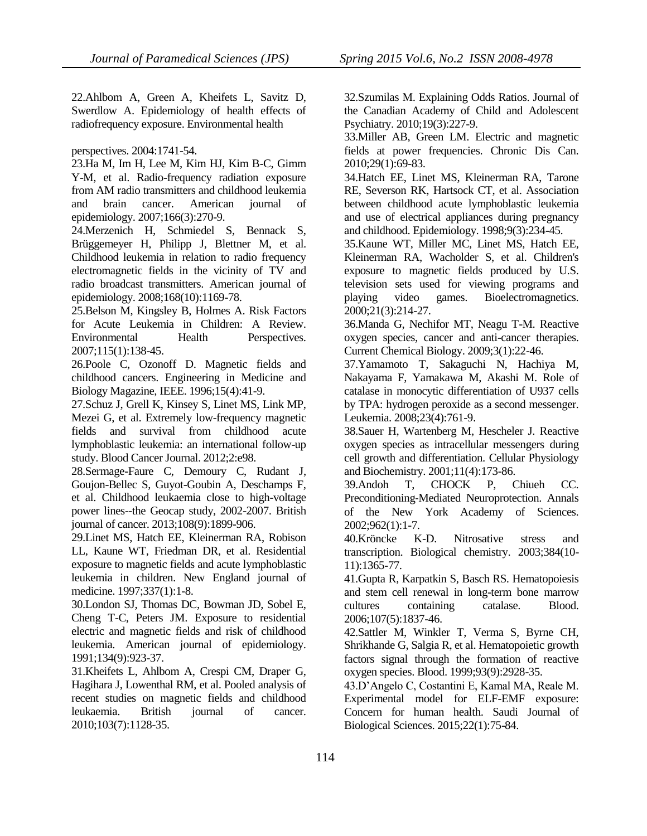<span id="page-8-0"></span>22.Ahlbom A, Green A, Kheifets L, Savitz D, Swerdlow A. Epidemiology of health effects of radiofrequency exposure. Environmental health

perspectives. 2004:1741-54.

<span id="page-8-1"></span>23.Ha M, Im H, Lee M, Kim HJ, Kim B-C, Gimm Y-M, et al. Radio-frequency radiation exposure from AM radio transmitters and childhood leukemia and brain cancer. American journal of epidemiology. 2007;166(3):270-9.

<span id="page-8-2"></span>24.Merzenich H, Schmiedel S, Bennack S, Brüggemeyer H, Philipp J, Blettner M, et al. Childhood leukemia in relation to radio frequency electromagnetic fields in the vicinity of TV and radio broadcast transmitters. American journal of epidemiology. 2008;168(10):1169-78.

<span id="page-8-3"></span>25.Belson M, Kingsley B, Holmes A. Risk Factors for Acute Leukemia in Children: A Review. Environmental Health Perspectives. 2007;115(1):138-45.

<span id="page-8-4"></span>26.Poole C, Ozonoff D. Magnetic fields and childhood cancers. Engineering in Medicine and Biology Magazine, IEEE. 1996;15(4):41-9.

<span id="page-8-5"></span>27.Schuz J, Grell K, Kinsey S, Linet MS, Link MP, Mezei G, et al. Extremely low-frequency magnetic fields and survival from childhood acute lymphoblastic leukemia: an international follow-up study. Blood Cancer Journal. 2012;2:e98.

<span id="page-8-6"></span>28.Sermage-Faure C, Demoury C, Rudant J, Goujon-Bellec S, Guyot-Goubin A, Deschamps F, et al. Childhood leukaemia close to high-voltage power lines--the Geocap study, 2002-2007. British journal of cancer. 2013;108(9):1899-906.

<span id="page-8-7"></span>29.Linet MS, Hatch EE, Kleinerman RA, Robison LL, Kaune WT, Friedman DR, et al. Residential exposure to magnetic fields and acute lymphoblastic leukemia in children. New England journal of medicine. 1997;337(1):1-8.

<span id="page-8-8"></span>30.London SJ, Thomas DC, Bowman JD, Sobel E, Cheng T-C, Peters JM. Exposure to residential electric and magnetic fields and risk of childhood leukemia. American journal of epidemiology. 1991;134(9):923-37.

<span id="page-8-9"></span>31.Kheifets L, Ahlbom A, Crespi CM, Draper G, Hagihara J, Lowenthal RM, et al. Pooled analysis of recent studies on magnetic fields and childhood leukaemia. British journal of cancer. 2010;103(7):1128-35.

<span id="page-8-10"></span>32.Szumilas M. Explaining Odds Ratios. Journal of the Canadian Academy of Child and Adolescent Psychiatry. 2010;19(3):227-9.

<span id="page-8-11"></span>33.Miller AB, Green LM. Electric and magnetic fields at power frequencies. Chronic Dis Can. 2010;29(1):69-83.

<span id="page-8-12"></span>34.Hatch EE, Linet MS, Kleinerman RA, Tarone RE, Severson RK, Hartsock CT, et al. Association between childhood acute lymphoblastic leukemia and use of electrical appliances during pregnancy and childhood. Epidemiology. 1998;9(3):234-45.

<span id="page-8-13"></span>35.Kaune WT, Miller MC, Linet MS, Hatch EE, Kleinerman RA, Wacholder S, et al. Children's exposure to magnetic fields produced by U.S. television sets used for viewing programs and playing video games. Bioelectromagnetics. 2000;21(3):214-27.

<span id="page-8-14"></span>36.Manda G, Nechifor MT, Neagu T-M. Reactive oxygen species, cancer and anti-cancer therapies. Current Chemical Biology. 2009;3(1):22-46.

<span id="page-8-15"></span>37.Yamamoto T, Sakaguchi N, Hachiya M, Nakayama F, Yamakawa M, Akashi M. Role of catalase in monocytic differentiation of U937 cells by TPA: hydrogen peroxide as a second messenger. Leukemia. 2008;23(4):761-9.

<span id="page-8-16"></span>38.Sauer H, Wartenberg M, Hescheler J. Reactive oxygen species as intracellular messengers during cell growth and differentiation. Cellular Physiology and Biochemistry. 2001;11(4):173-86.

<span id="page-8-17"></span>39.Andoh T, CHOCK P, Chiueh CC. Preconditioning‐Mediated Neuroprotection. Annals of the New York Academy of Sciences. 2002;962(1):1-7.

<span id="page-8-18"></span>40.Kröncke K-D. Nitrosative stress and transcription. Biological chemistry. 2003;384(10- 11):1365-77.

<span id="page-8-19"></span>41.Gupta R, Karpatkin S, Basch RS. Hematopoiesis and stem cell renewal in long-term bone marrow cultures containing catalase. Blood. 2006;107(5):1837-46.

<span id="page-8-20"></span>42.Sattler M, Winkler T, Verma S, Byrne CH, Shrikhande G, Salgia R, et al. Hematopoietic growth factors signal through the formation of reactive oxygen species. Blood. 1999;93(9):2928-35.

<span id="page-8-21"></span>43.D'Angelo C, Costantini E, Kamal MA, Reale M. Experimental model for ELF-EMF exposure: Concern for human health. Saudi Journal of Biological Sciences. 2015;22(1):75-84.